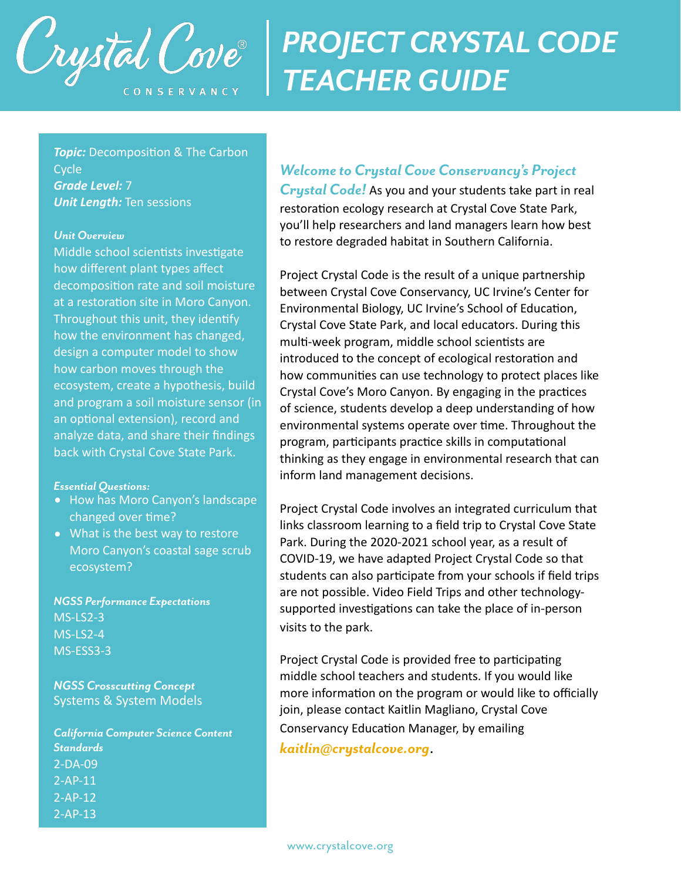

# *PROJECT CRYSTAL CODE TEACHER GUIDE*

**Topic:** Decomposition & The Carbon **Cycle** *Grade Level:* 7 *Unit Length:* Ten sessions

#### *Unit Overview*

Middle school scientists investigate how different plant types affect decomposition rate and soil moisture at a restoration site in Moro Canyon. Throughout this unit, they identify how the environment has changed, design a computer model to show how carbon moves through the ecosystem, create a hypothesis, build and program a soil moisture sensor (in an optional extension), record and analyze data, and share their findings back with Crystal Cove State Park.

#### *Essential Questions:*

- How has Moro Canyon's landscape changed over time?
- What is the best way to restore Moro Canyon's coastal sage scrub ecosystem?

*NGSS Performance Expectations*  MS-LS2-3 MS-LS2-4 MS-ESS3-3

*NGSS Crosscutting Concept*  Systems & System Models

*California Computer Science Content Standards* 2-DA-09 2-AP-11 2-AP-12 2-AP-13

## *Welcome to Crystal Cove Conservancy's Project*

*Crystal Code!* As you and your students take part in real restoration ecology research at Crystal Cove State Park, you'll help researchers and land managers learn how best to restore degraded habitat in Southern California.

Project Crystal Code is the result of a unique partnership between Crystal Cove Conservancy, UC Irvine's Center for Environmental Biology, UC Irvine's School of Education, Crystal Cove State Park, and local educators. During this multi-week program, middle school scientists are introduced to the concept of ecological restoration and how communities can use technology to protect places like Crystal Cove's Moro Canyon. By engaging in the practices of science, students develop a deep understanding of how environmental systems operate over time. Throughout the program, participants practice skills in computational thinking as they engage in environmental research that can inform land management decisions.

Project Crystal Code involves an integrated curriculum that links classroom learning to a field trip to Crystal Cove State Park. During the 2020-2021 school year, as a result of COVID-19, we have adapted Project Crystal Code so that students can also participate from your schools if field trips are not possible. Video Field Trips and other technologysupported investigations can take the place of in-person visits to the park.

Project Crystal Code is provided free to participating middle school teachers and students. If you would like more information on the program or would like to officially join, please contact Kaitlin Magliano, Crystal Cove Conservancy Education Manager, by emailing *kaitlin@crystalcove.org*.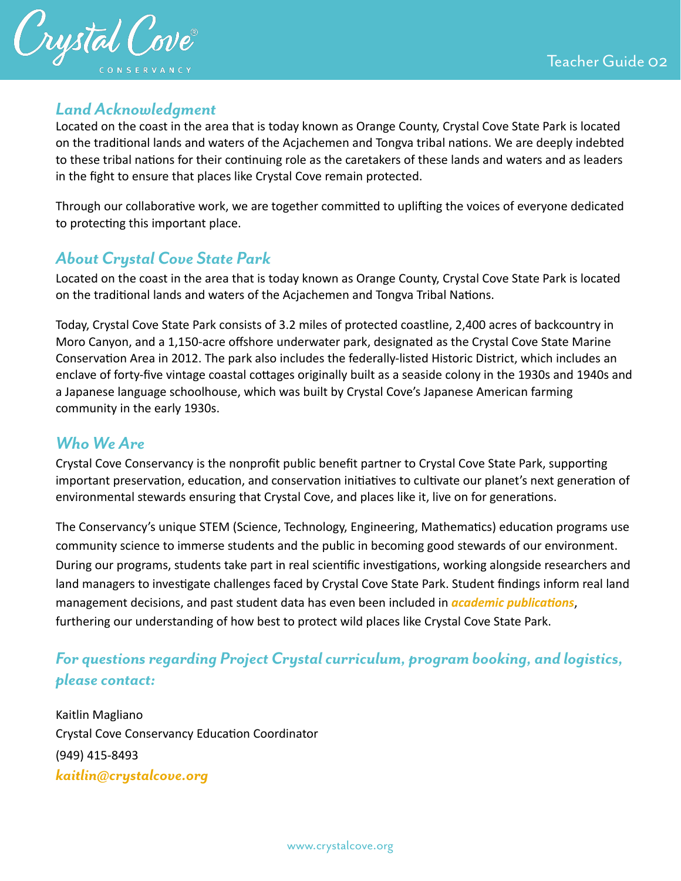

## *Land Acknowledgment*

Located on the coast in the area that is today known as Orange County, Crystal Cove State Park is located on the traditional lands and waters of the Acjachemen and Tongva tribal nations. We are deeply indebted to these tribal nations for their continuing role as the caretakers of these lands and waters and as leaders in the fight to ensure that places like Crystal Cove remain protected.

Through our collaborative work, we are together committed to uplifting the voices of everyone dedicated to protecting this important place.

## *About Crystal Cove State Park*

Located on the coast in the area that is today known as Orange County, Crystal Cove State Park is located on the traditional lands and waters of the Acjachemen and Tongva Tribal Nations.

Today, Crystal Cove State Park consists of 3.2 miles of protected coastline, 2,400 acres of backcountry in Moro Canyon, and a 1,150-acre offshore underwater park, designated as the Crystal Cove State Marine Conservation Area in 2012. The park also includes the federally-listed Historic District, which includes an enclave of forty-five vintage coastal cottages originally built as a seaside colony in the 1930s and 1940s and a Japanese language schoolhouse, which was built by Crystal Cove's Japanese American farming community in the early 1930s.

## *Who We Are*

Crystal Cove Conservancy is the nonprofit public benefit partner to Crystal Cove State Park, supporting important preservation, education, and conservation initiatives to cultivate our planet's next generation of environmental stewards ensuring that Crystal Cove, and places like it, live on for generations.

The Conservancy's unique STEM (Science, Technology, Engineering, Mathematics) education programs use community science to immerse students and the public in becoming good stewards of our environment. During our programs, students take part in real scientific investigations, working alongside researchers and land managers to investigate challenges faced by Crystal Cove State Park. Student findings inform real land management decisions, and past student data has even been included in *academic publications*, furthering our understanding of how best to protect wild places like Crystal Cove State Park.

## *For questions regarding Project Crystal curriculum, program booking, and logistics, please contact:*

Kaitlin Magliano Crystal Cove Conservancy Education Coordinator (949) 415-8493 *kaitlin@crystalcove.org*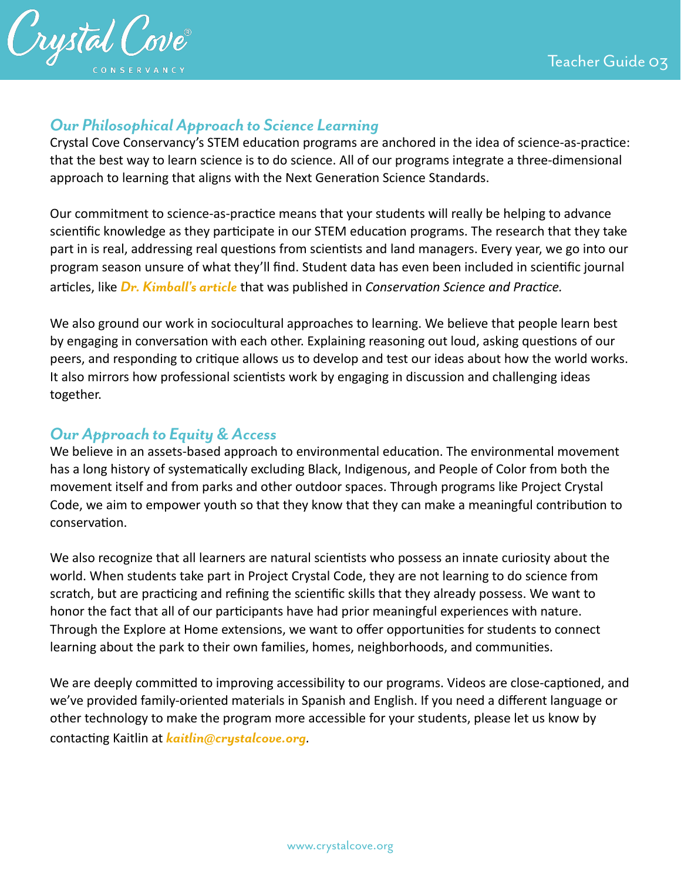

## *Our Philosophical Approach to Science Learning*

Crystal Cove Conservancy's STEM education programs are anchored in the idea of science-as-practice: that the best way to learn science is to do science. All of our programs integrate a three-dimensional approach to learning that aligns with the Next Generation Science Standards.

Our commitment to science-as-practice means that your students will really be helping to advance scientific knowledge as they participate in our STEM education programs. The research that they take part in is real, addressing real questions from scientists and land managers. Every year, we go into our program season unsure of what they'll find. Student data has even been included in scientific journal articles, like *[Dr. Kimball's article](https://crystalcove.org/crystal-cove-student-data-included-in-first-scientific-journal-article/)* that was published in *Conservation Science and Practice.* 

We also ground our work in sociocultural approaches to learning. We believe that people learn best by engaging in conversation with each other. Explaining reasoning out loud, asking questions of our peers, and responding to critique allows us to develop and test our ideas about how the world works. It also mirrors how professional scientists work by engaging in discussion and challenging ideas together.

## *Our Approach to Equity & Access*

We believe in an assets-based approach to environmental education. The environmental movement has a long history of systematically excluding Black, Indigenous, and People of Color from both the movement itself and from parks and other outdoor spaces. Through programs like Project Crystal Code, we aim to empower youth so that they know that they can make a meaningful contribution to conservation.

We also recognize that all learners are natural scientists who possess an innate curiosity about the world. When students take part in Project Crystal Code, they are not learning to do science from scratch, but are practicing and refining the scientific skills that they already possess. We want to honor the fact that all of our participants have had prior meaningful experiences with nature. Through the Explore at Home extensions, we want to offer opportunities for students to connect learning about the park to their own families, homes, neighborhoods, and communities.

We are deeply committed to improving accessibility to our programs. Videos are close-captioned, and we've provided family-oriented materials in Spanish and English. If you need a different language or other technology to make the program more accessible for your students, please let us know by contac1ng Kaitlin at *kaitlin@crystalcove.org.*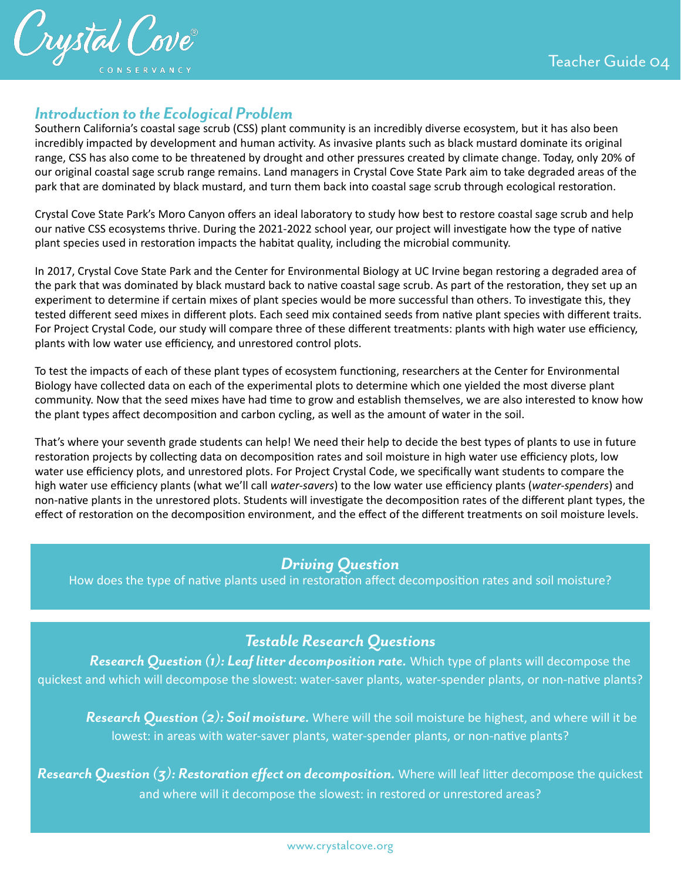

## *Introduction to the Ecological Problem*

Southern California's coastal sage scrub (CSS) plant community is an incredibly diverse ecosystem, but it has also been incredibly impacted by development and human activity. As invasive plants such as black mustard dominate its original range, CSS has also come to be threatened by drought and other pressures created by climate change. Today, only 20% of our original coastal sage scrub range remains. Land managers in Crystal Cove State Park aim to take degraded areas of the park that are dominated by black mustard, and turn them back into coastal sage scrub through ecological restoration.

Crystal Cove State Park's Moro Canyon offers an ideal laboratory to study how best to restore coastal sage scrub and help our native CSS ecosystems thrive. During the 2021-2022 school year, our project will investigate how the type of native plant species used in restoration impacts the habitat quality, including the microbial community.

In 2017, Crystal Cove State Park and the Center for Environmental Biology at UC Irvine began restoring a degraded area of the park that was dominated by black mustard back to native coastal sage scrub. As part of the restoration, they set up an experiment to determine if certain mixes of plant species would be more successful than others. To investigate this, they tested different seed mixes in different plots. Each seed mix contained seeds from native plant species with different traits. For Project Crystal Code, our study will compare three of these different treatments: plants with high water use efficiency, plants with low water use efficiency, and unrestored control plots.

To test the impacts of each of these plant types of ecosystem functioning, researchers at the Center for Environmental Biology have collected data on each of the experimental plots to determine which one yielded the most diverse plant community. Now that the seed mixes have had time to grow and establish themselves, we are also interested to know how the plant types affect decomposition and carbon cycling, as well as the amount of water in the soil.

That's where your seventh grade students can help! We need their help to decide the best types of plants to use in future restoration projects by collecting data on decomposition rates and soil moisture in high water use efficiency plots, low water use efficiency plots, and unrestored plots. For Project Crystal Code, we specifically want students to compare the high water use efficiency plants (what we'll call *water-savers*) to the low water use efficiency plants (*water-spenders*) and non-native plants in the unrestored plots. Students will investigate the decomposition rates of the different plant types, the effect of restoration on the decomposition environment, and the effect of the different treatments on soil moisture levels.

## *Driving Question*

How does the type of native plants used in restoration affect decomposition rates and soil moisture?

## *Testable Research Questions*

*Research Question (1): Leaf litter decomposition rate.* Which type of plants will decompose the quickest and which will decompose the slowest: water-saver plants, water-spender plants, or non-native plants?

*Research Question (2): Soil moisture.* Where will the soil moisture be highest, and where will it be lowest: in areas with water-saver plants, water-spender plants, or non-native plants?

*Research Question (3): Restoration effect on decomposition.* Where will leaf liber decompose the quickest and where will it decompose the slowest: in restored or unrestored areas?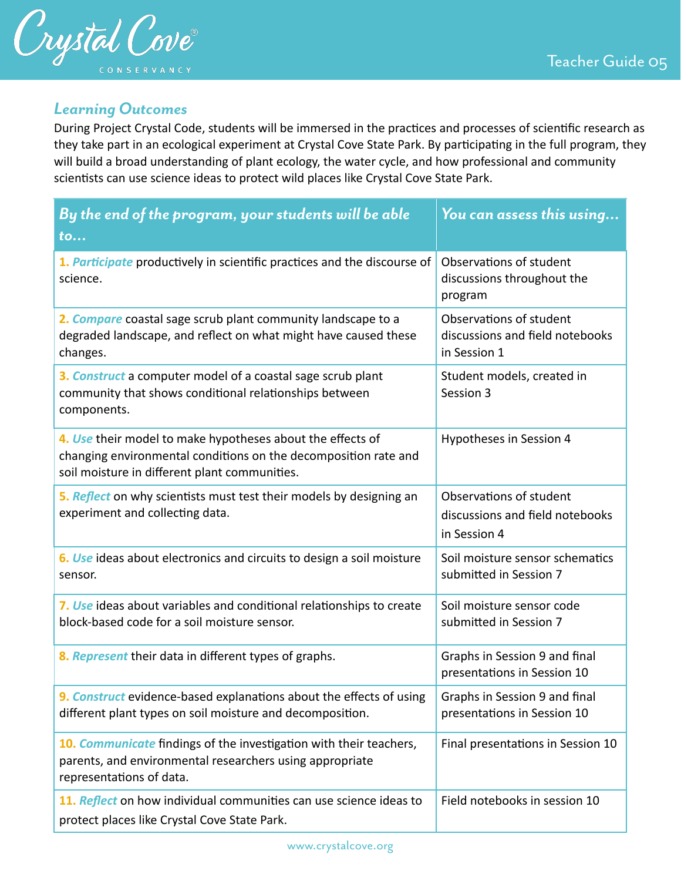

## *Learning Outcomes*

During Project Crystal Code, students will be immersed in the practices and processes of scientific research as they take part in an ecological experiment at Crystal Cove State Park. By participating in the full program, they will build a broad understanding of plant ecology, the water cycle, and how professional and community scientists can use science ideas to protect wild places like Crystal Cove State Park.

| By the end of the program, your students will be able<br>$\mathbf{to} \dots$                                                                                                   | You can assess this using                                                  |  |
|--------------------------------------------------------------------------------------------------------------------------------------------------------------------------------|----------------------------------------------------------------------------|--|
| 1. Participate productively in scientific practices and the discourse of<br>science.                                                                                           | Observations of student<br>discussions throughout the<br>program           |  |
| 2. Compare coastal sage scrub plant community landscape to a<br>degraded landscape, and reflect on what might have caused these<br>changes.                                    | Observations of student<br>discussions and field notebooks<br>in Session 1 |  |
| 3. Construct a computer model of a coastal sage scrub plant<br>community that shows conditional relationships between<br>components.                                           | Student models, created in<br>Session 3                                    |  |
| 4. Use their model to make hypotheses about the effects of<br>changing environmental conditions on the decomposition rate and<br>soil moisture in different plant communities. | Hypotheses in Session 4                                                    |  |
| 5. Reflect on why scientists must test their models by designing an<br>experiment and collecting data.                                                                         | Observations of student<br>discussions and field notebooks<br>in Session 4 |  |
| 6. Use ideas about electronics and circuits to design a soil moisture<br>sensor.                                                                                               | Soil moisture sensor schematics<br>submitted in Session 7                  |  |
| 7. Use ideas about variables and conditional relationships to create<br>block-based code for a soil moisture sensor.                                                           | Soil moisture sensor code<br>submitted in Session 7                        |  |
| 8. Represent their data in different types of graphs.                                                                                                                          | Graphs in Session 9 and final<br>presentations in Session 10               |  |
| 9. Construct evidence-based explanations about the effects of using<br>different plant types on soil moisture and decomposition.                                               | Graphs in Session 9 and final<br>presentations in Session 10               |  |
| 10. Communicate findings of the investigation with their teachers,<br>parents, and environmental researchers using appropriate<br>representations of data.                     | Final presentations in Session 10                                          |  |
| 11. Reflect on how individual communities can use science ideas to<br>protect places like Crystal Cove State Park.                                                             | Field notebooks in session 10                                              |  |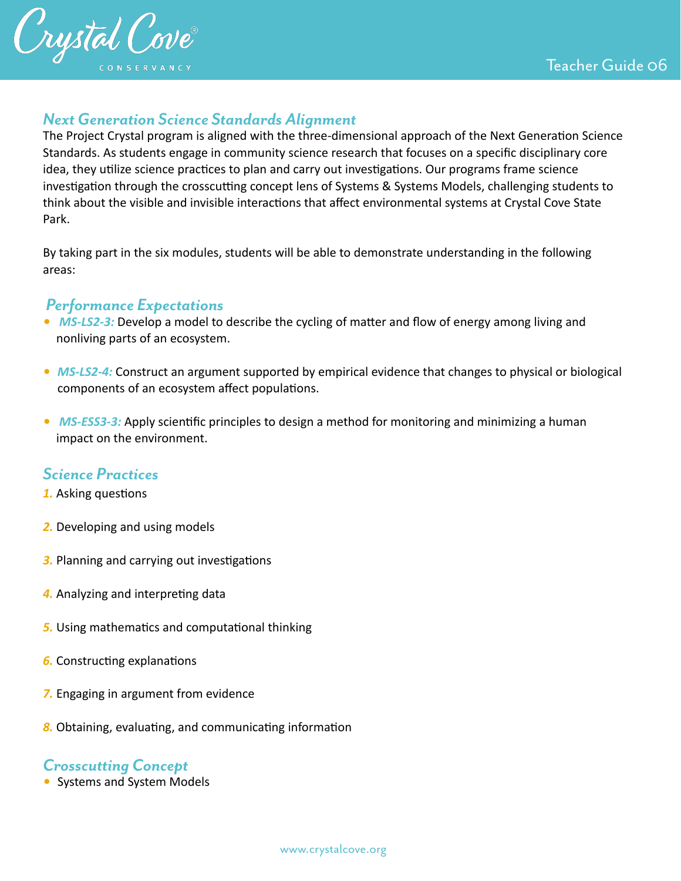

## *Next Generation Science Standards Alignment*

The Project Crystal program is aligned with the three-dimensional approach of the Next Generation Science Standards. As students engage in community science research that focuses on a specific disciplinary core idea, they utilize science practices to plan and carry out investigations. Our programs frame science investigation through the crosscutting concept lens of Systems & Systems Models, challenging students to think about the visible and invisible interactions that affect environmental systems at Crystal Cove State Park.

By taking part in the six modules, students will be able to demonstrate understanding in the following areas:

#### *Performance Expectations*

- *MS-LS2-3:* Develop a model to describe the cycling of matter and flow of energy among living and nonliving parts of an ecosystem.
- *MS-LS2-4:* Construct an argument supported by empirical evidence that changes to physical or biological components of an ecosystem affect populations.
- *MS-ESS3-3:* Apply scientific principles to design a method for monitoring and minimizing a human impact on the environment.

#### *Science Practices*

**1.** Asking questions

- *2.* Developing and using models
- **3.** Planning and carrying out investigations
- 4. Analyzing and interpreting data
- **5.** Using mathematics and computational thinking
- **6.** Constructing explanations
- *7.* Engaging in argument from evidence
- **8.** Obtaining, evaluating, and communicating information

#### *Crosscutting Concept*

• Systems and System Models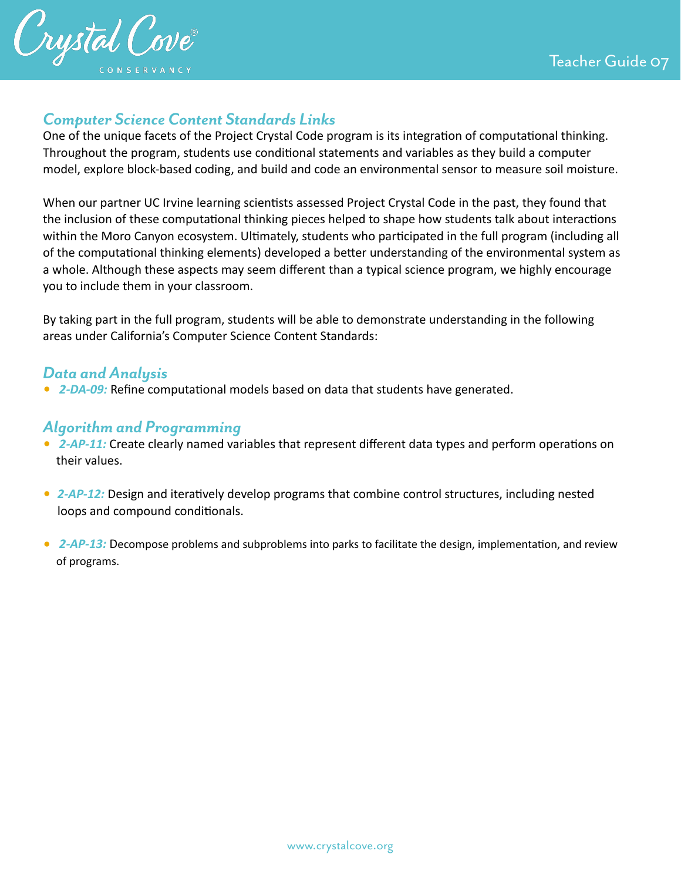

## *Computer Science Content Standards Links*

One of the unique facets of the Project Crystal Code program is its integration of computational thinking. Throughout the program, students use conditional statements and variables as they build a computer model, explore block-based coding, and build and code an environmental sensor to measure soil moisture.

When our partner UC Irvine learning scientists assessed Project Crystal Code in the past, they found that the inclusion of these computational thinking pieces helped to shape how students talk about interactions within the Moro Canyon ecosystem. Ultimately, students who participated in the full program (including all of the computational thinking elements) developed a better understanding of the environmental system as a whole. Although these aspects may seem different than a typical science program, we highly encourage you to include them in your classroom.

By taking part in the full program, students will be able to demonstrate understanding in the following areas under California's Computer Science Content Standards:

#### *Data and Analysis*

• 2-DA-09: Refine computational models based on data that students have generated.

## *Algorithm and Programming*

- 2-AP-11: Create clearly named variables that represent different data types and perform operations on their values.
- 2-AP-12: Design and iteratively develop programs that combine control structures, including nested loops and compound conditionals.
- 2-AP-13: Decompose problems and subproblems into parks to facilitate the design, implementation, and review of programs.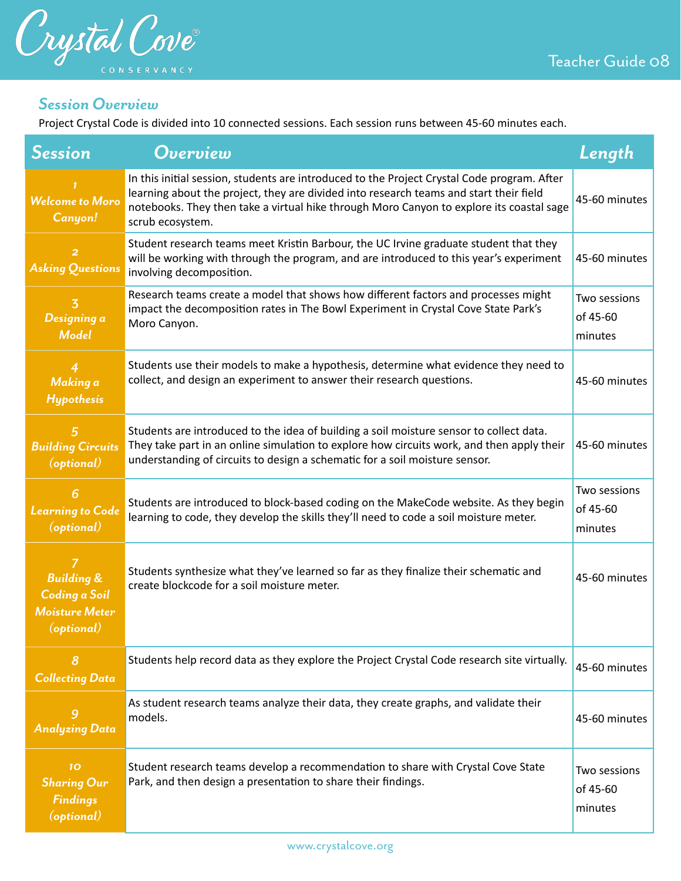

#### *Session Overview*

Project Crystal Code is divided into 10 connected sessions. Each session runs between 45-60 minutes each.

| Session                                                                       | <i><b>Overview</b></i>                                                                                                                                                                                                                                                                                | Length                              |
|-------------------------------------------------------------------------------|-------------------------------------------------------------------------------------------------------------------------------------------------------------------------------------------------------------------------------------------------------------------------------------------------------|-------------------------------------|
| <b>Welcome to Moro</b><br>Canyon!                                             | In this initial session, students are introduced to the Project Crystal Code program. After<br>learning about the project, they are divided into research teams and start their field<br>notebooks. They then take a virtual hike through Moro Canyon to explore its coastal sage<br>scrub ecosystem. | 45-60 minutes                       |
| <b>Asking Questions</b>                                                       | Student research teams meet Kristin Barbour, the UC Irvine graduate student that they<br>will be working with through the program, and are introduced to this year's experiment<br>involving decomposition.                                                                                           | 45-60 minutes                       |
| Designing a<br><b>Model</b>                                                   | Research teams create a model that shows how different factors and processes might<br>impact the decomposition rates in The Bowl Experiment in Crystal Cove State Park's<br>Moro Canyon.                                                                                                              | Two sessions<br>of 45-60<br>minutes |
| 4<br>Making a<br><b>Hypothesis</b>                                            | Students use their models to make a hypothesis, determine what evidence they need to<br>collect, and design an experiment to answer their research questions.                                                                                                                                         | 45-60 minutes                       |
| 5<br><b>Building Circuits</b><br>(optional)                                   | Students are introduced to the idea of building a soil moisture sensor to collect data.<br>They take part in an online simulation to explore how circuits work, and then apply their<br>understanding of circuits to design a schematic for a soil moisture sensor.                                   | 45-60 minutes                       |
| 6<br><b>Learning to Code</b><br>(optional)                                    | Students are introduced to block-based coding on the MakeCode website. As they begin<br>learning to code, they develop the skills they'll need to code a soil moisture meter.                                                                                                                         | Two sessions<br>of 45-60<br>minutes |
| <b>Building &amp;</b><br>Coding a Soil<br><b>Moisture Meter</b><br>(optional) | Students synthesize what they've learned so far as they finalize their schematic and<br>create blockcode for a soil moisture meter.                                                                                                                                                                   | 45-60 minutes                       |
| 8<br><b>Collecting Data</b>                                                   | Students help record data as they explore the Project Crystal Code research site virtually.                                                                                                                                                                                                           | 45-60 minutes                       |
| 9<br><b>Analyzing Data</b>                                                    | As student research teams analyze their data, they create graphs, and validate their<br>models.                                                                                                                                                                                                       | 45-60 minutes                       |
| 10<br><b>Sharing Our</b><br><b>Findings</b><br>(optional)                     | Student research teams develop a recommendation to share with Crystal Cove State<br>Park, and then design a presentation to share their findings.                                                                                                                                                     | Two sessions<br>of 45-60<br>minutes |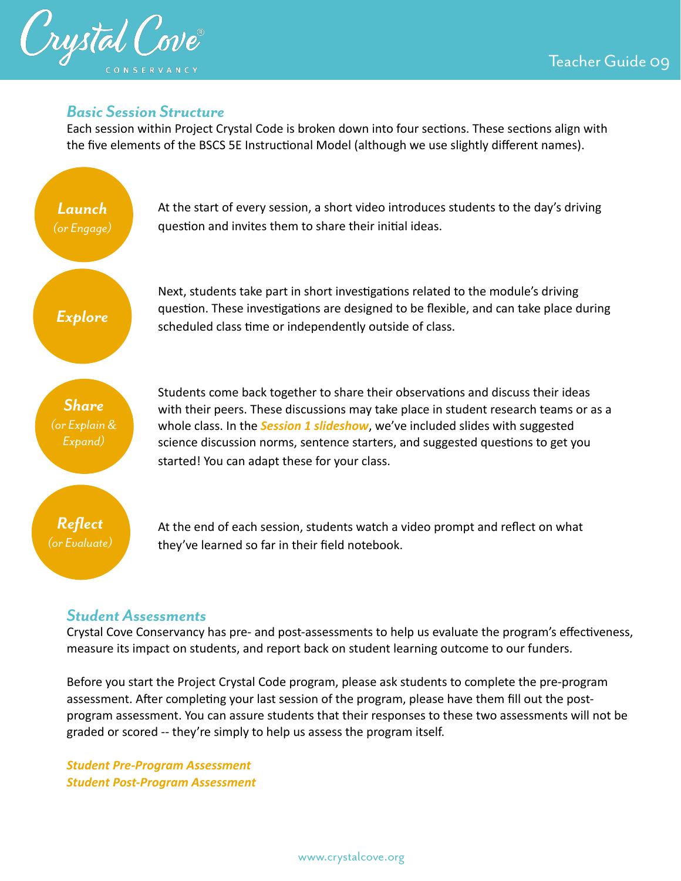



#### *Basic Session Structure*

Each session within Project Crystal Code is broken down into four sections. These sections align with the five elements of the BSCS 5E Instructional Model (although we use slightly different names).



#### *Student Assessments*

Crystal Cove Conservancy has pre- and post-assessments to help us evaluate the program's effectiveness, measure its impact on students, and report back on student learning outcome to our funders.

Before you start the Project Crystal Code program, please ask students to complete the pre-program assessment. After completing your last session of the program, please have them fill out the postprogram assessment. You can assure students that their responses to these two assessments will not be graded or scored -- they're simply to help us assess the program itself.

*[Student Pre-Program Assessment](https://docs.google.com/forms/d/e/1FAIpQLSdFFbLzK_UuPmqcrlBacx4_T4uocPl8r5dVA_H1IhPtT4TNJg/viewform?usp=send_form)  [Student Post-Program Assessment](https://docs.google.com/forms/d/e/1FAIpQLSekQeAhCSa7lXFkL8jG3IDZ1GsEmX5jM4er7kVn-AXZudhxow/viewform)*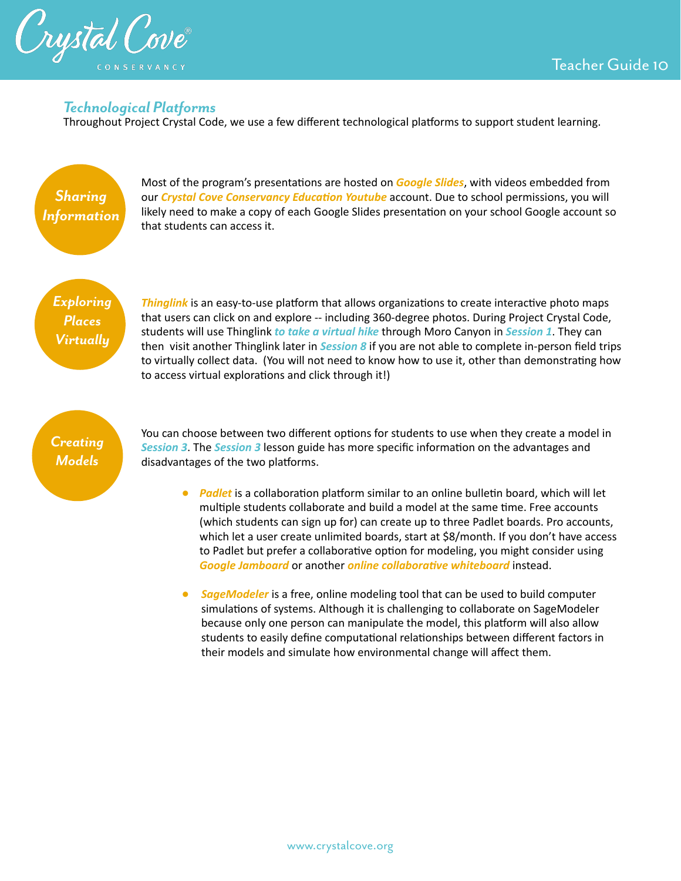

#### *Technological Platforms*

Throughout Project Crystal Code, we use a few different technological platforms to support student learning.

## *Sharing Information*

Most of the program's presentations are hosted on **Google Slides**, with videos embedded from our *Crystal Cove Conservancy Education Youtube* account. Due to school permissions, you will likely need to make a copy of each Google Slides presentation on your school Google account so that students can access it.

*Exploring Places Virtually*

*Thinglink* is an easy-to-use platform that allows organizations to create interactive photo maps that users can click on and explore -- including 360-degree photos. During Project Crystal Code, students will use Thinglink *to take a virtual hike* through Moro Canyon in *Session 1*. They can then visit another Thinglink later in *Session 8* if you are not able to complete in-person field trips to virtually collect data. (You will not need to know how to use it, other than demonstrating how to access virtual explorations and click through it!)

*Creating Models*

You can choose between two different options for students to use when they create a model in **Session 3. The Session 3** lesson guide has more specific information on the advantages and disadvantages of the two platforms.

- *Padlet* is a collaboration platform similar to an online bulletin board, which will let multiple students collaborate and build a model at the same time. Free accounts (which students can sign up for) can create up to three Padlet boards. Pro accounts, which let a user create unlimited boards, start at \$8/month. If you don't have access to Padlet but prefer a collaborative option for modeling, you might consider using **[Google Jamboard](https://edu.google.com/products/jamboard/)** or another *online collaborative whiteboard* instead.
- *[SageModeler](https://sagemodeler.concord.org)* is a free, online modeling tool that can be used to build computer simulations of systems. Although it is challenging to collaborate on SageModeler because only one person can manipulate the model, this platform will also allow students to easily define computational relationships between different factors in their models and simulate how environmental change will affect them.

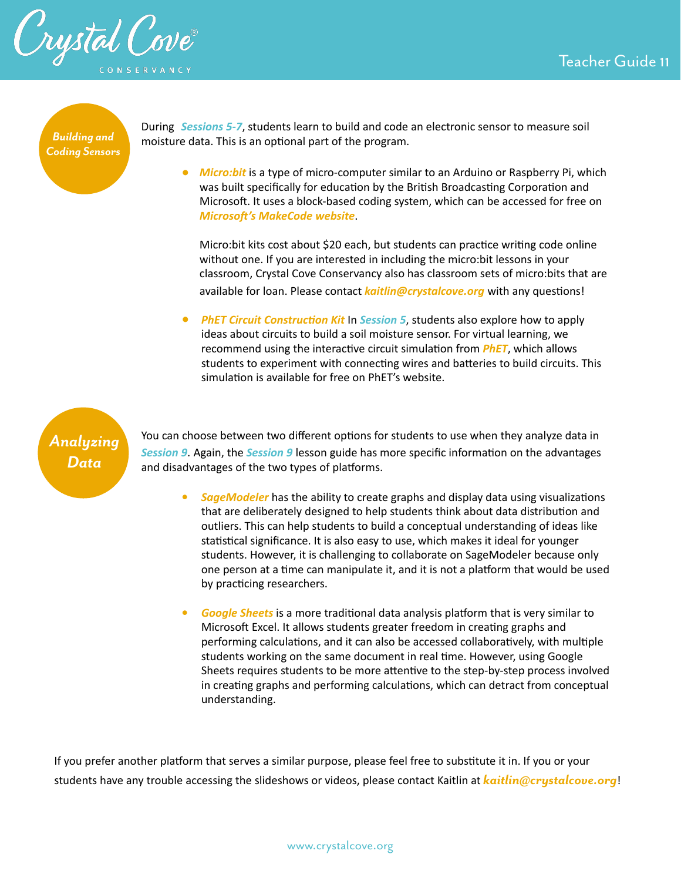

*Building and Coding Sensors* During *Sessions 5-7*, students learn to build and code an electronic sensor to measure soil moisture data. This is an optional part of the program.

• *[Micro:bit](https://microbit.org)* is a type of micro-computer similar to an Arduino or Raspberry Pi, which was built specifically for education by the British Broadcasting Corporation and Microsoft. It uses a block-based coding system, which can be accessed for free on *[MicrosoT's MakeCode website](https://microbit.org/code/)*.

Micro:bit kits cost about \$20 each, but students can practice writing code online without one. If you are interested in including the micro:bit lessons in your classroom, Crystal Cove Conservancy also has classroom sets of micro:bits that are available for loan. Please contact *[kaitlin@crystalcove.org](mailto:kaitlin@crystalcove.org)* with any questions!

**PhET Circuit Construction Kit** In *Session 5*, students also explore how to apply ideas about circuits to build a soil moisture sensor. For virtual learning, we recommend using the interactive circuit simulation from **[PhET](https://phet.colorado.edu)**, which allows students to experiment with connecting wires and batteries to build circuits. This simulation is available for free on PhFT's website.

*Analyzing Data*

You can choose between two different options for students to use when they analyze data in *Session 9*. Again, the *Session 9* lesson guide has more specific information on the advantages and disadvantages of the two types of platforms.

- *SageModeler* has the ability to create graphs and display data using visualizations that are deliberately designed to help students think about data distribution and outliers. This can help students to build a conceptual understanding of ideas like statistical significance. It is also easy to use, which makes it ideal for younger students. However, it is challenging to collaborate on SageModeler because only one person at a time can manipulate it, and it is not a platform that would be used by practicing researchers.
- **Google Sheets** is a more traditional data analysis platform that is very similar to Microsoft Excel. It allows students greater freedom in creating graphs and performing calculations, and it can also be accessed collaboratively, with multiple students working on the same document in real time. However, using Google Sheets requires students to be more attentive to the step-by-step process involved in creating graphs and performing calculations, which can detract from conceptual understanding.

If you prefer another platform that serves a similar purpose, please feel free to substitute it in. If you or your students have any trouble accessing the slideshows or videos, please contact Kaitlin at *[kaitlin@crystalcove.org](mailto:kaitlin@crystalcove.org)*!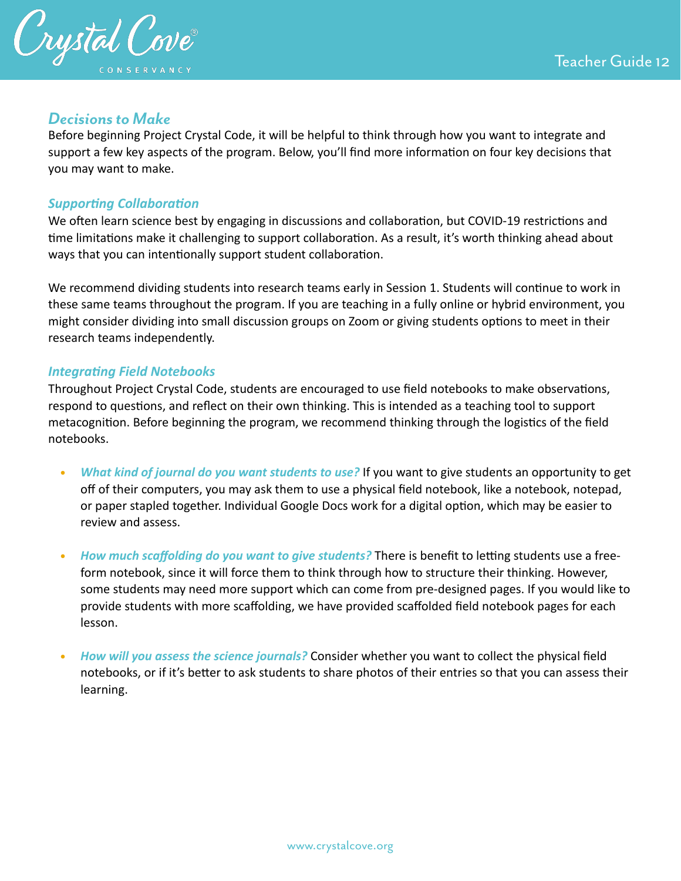

## *Decisions to Make*

Before beginning Project Crystal Code, it will be helpful to think through how you want to integrate and support a few key aspects of the program. Below, you'll find more information on four key decisions that you may want to make.

#### **Supporting Collaboration**

We often learn science best by engaging in discussions and collaboration, but COVID-19 restrictions and time limitations make it challenging to support collaboration. As a result, it's worth thinking ahead about ways that you can intentionally support student collaboration.

We recommend dividing students into research teams early in Session 1. Students will continue to work in these same teams throughout the program. If you are teaching in a fully online or hybrid environment, you might consider dividing into small discussion groups on Zoom or giving students options to meet in their research teams independently.

#### **Integrating Field Notebooks**

Throughout Project Crystal Code, students are encouraged to use field notebooks to make observations, respond to questions, and reflect on their own thinking. This is intended as a teaching tool to support metacognition. Before beginning the program, we recommend thinking through the logistics of the field notebooks.

- **•** *What kind of journal do you want students to use?* If you want to give students an opportunity to get off of their computers, you may ask them to use a physical field notebook, like a notebook, notepad, or paper stapled together. Individual Google Docs work for a digital option, which may be easier to review and assess.
- How much scaffolding do you want to give students? There is benefit to letting students use a freeform notebook, since it will force them to think through how to structure their thinking. However, some students may need more support which can come from pre-designed pages. If you would like to provide students with more scaffolding, we have provided scaffolded field notebook pages for each lesson.
- **•** *How will you assess the science journals?* Consider whether you want to collect the physical field notebooks, or if it's better to ask students to share photos of their entries so that you can assess their learning.